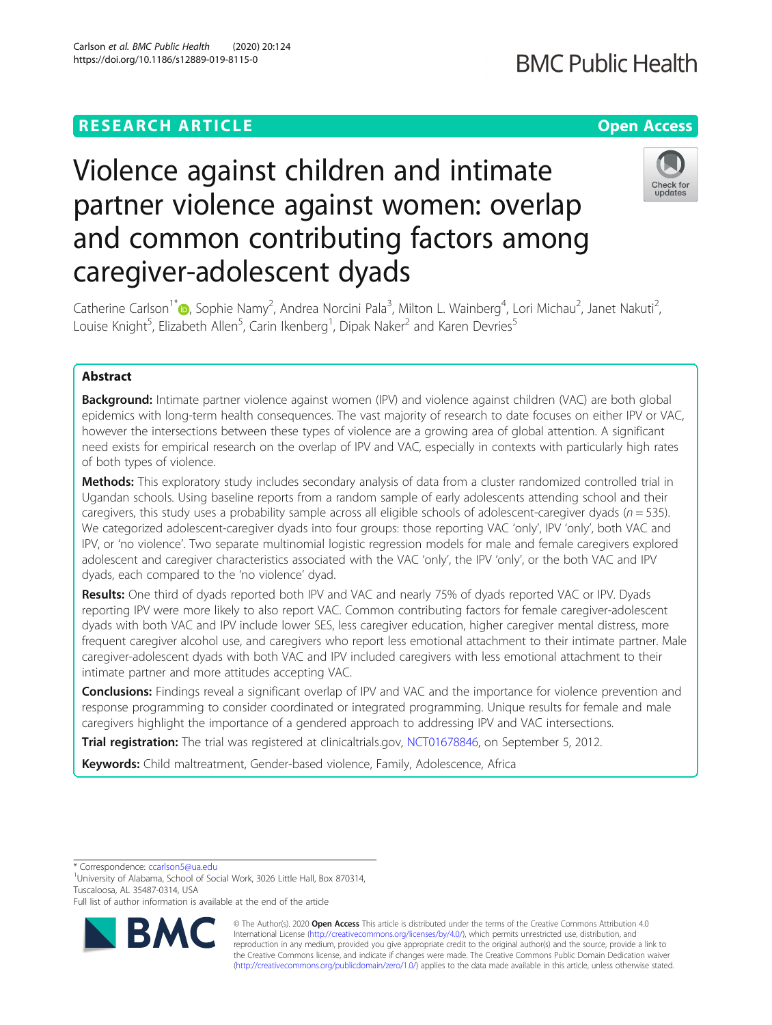## **RESEARCH ARTICLE Example 2014 12:30 The Contract of Contract ACCESS**

## **BMC Public Health**

## Check for updates

# partner violence against women: overlap and common contributing factors among caregiver-adolescent dyads

Violence against children and intimate

Catherine Carlson<sup>1[\\*](http://orcid.org/0000-0002-9501-0214)</sup>®, Sophie Namy<sup>2</sup>, Andrea Norcini Pala<sup>3</sup>, Milton L. Wainberg<sup>4</sup>, Lori Michau<sup>2</sup>, Janet Nakuti<sup>2</sup> , Louise Knight<sup>5</sup>, Elizabeth Allen<sup>5</sup>, Carin Ikenberg<sup>1</sup>, Dipak Naker<sup>2</sup> and Karen Devries<sup>5</sup>

### Abstract

Background: Intimate partner violence against women (IPV) and violence against children (VAC) are both global epidemics with long-term health consequences. The vast majority of research to date focuses on either IPV or VAC, however the intersections between these types of violence are a growing area of global attention. A significant need exists for empirical research on the overlap of IPV and VAC, especially in contexts with particularly high rates of both types of violence.

Methods: This exploratory study includes secondary analysis of data from a cluster randomized controlled trial in Ugandan schools. Using baseline reports from a random sample of early adolescents attending school and their caregivers, this study uses a probability sample across all eligible schools of adolescent-caregiver dyads ( $n = 535$ ). We categorized adolescent-caregiver dyads into four groups: those reporting VAC 'only', IPV 'only', both VAC and IPV, or 'no violence'. Two separate multinomial logistic regression models for male and female caregivers explored adolescent and caregiver characteristics associated with the VAC 'only', the IPV 'only', or the both VAC and IPV dyads, each compared to the 'no violence' dyad.

Results: One third of dyads reported both IPV and VAC and nearly 75% of dyads reported VAC or IPV. Dyads reporting IPV were more likely to also report VAC. Common contributing factors for female caregiver-adolescent dyads with both VAC and IPV include lower SES, less caregiver education, higher caregiver mental distress, more frequent caregiver alcohol use, and caregivers who report less emotional attachment to their intimate partner. Male caregiver-adolescent dyads with both VAC and IPV included caregivers with less emotional attachment to their intimate partner and more attitudes accepting VAC.

Conclusions: Findings reveal a significant overlap of IPV and VAC and the importance for violence prevention and response programming to consider coordinated or integrated programming. Unique results for female and male caregivers highlight the importance of a gendered approach to addressing IPV and VAC intersections.

Trial registration: The trial was registered at clinicaltrials.gov, [NCT01678846](https://clinicaltrials.gov/ct2/show/NCT01678846?term=NCT01678846&draw=2&rank=1), on September 5, 2012.

Keywords: Child maltreatment, Gender-based violence, Family, Adolescence, Africa

\* Correspondence: [ccarlson5@ua.edu](mailto:ccarlson5@ua.edu) <sup>1</sup>

<sup>1</sup>University of Alabama, School of Social Work, 3026 Little Hall, Box 870314, Tuscaloosa, AL 35487-0314, USA

Full list of author information is available at the end of the article



© The Author(s). 2020 **Open Access** This article is distributed under the terms of the Creative Commons Attribution 4.0 International License [\(http://creativecommons.org/licenses/by/4.0/](http://creativecommons.org/licenses/by/4.0/)), which permits unrestricted use, distribution, and reproduction in any medium, provided you give appropriate credit to the original author(s) and the source, provide a link to the Creative Commons license, and indicate if changes were made. The Creative Commons Public Domain Dedication waiver [\(http://creativecommons.org/publicdomain/zero/1.0/](http://creativecommons.org/publicdomain/zero/1.0/)) applies to the data made available in this article, unless otherwise stated.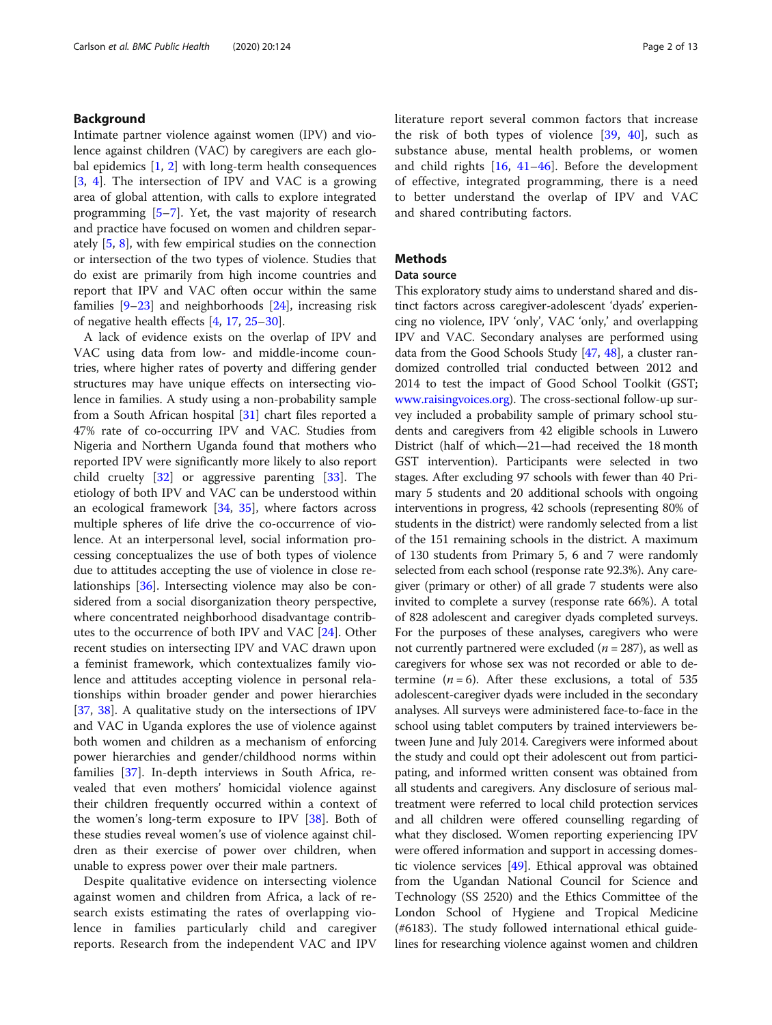#### Background

Intimate partner violence against women (IPV) and violence against children (VAC) by caregivers are each global epidemics [\[1](#page-10-0), [2](#page-10-0)] with long-term health consequences [[3,](#page-10-0) [4](#page-10-0)]. The intersection of IPV and VAC is a growing area of global attention, with calls to explore integrated programming [\[5](#page-10-0)–[7](#page-10-0)]. Yet, the vast majority of research and practice have focused on women and children separately [[5,](#page-10-0) [8\]](#page-10-0), with few empirical studies on the connection or intersection of the two types of violence. Studies that do exist are primarily from high income countries and report that IPV and VAC often occur within the same families  $[9-23]$  $[9-23]$  $[9-23]$  and neighborhoods  $[24]$  $[24]$ , increasing risk of negative health effects [\[4](#page-10-0), [17,](#page-10-0) [25](#page-11-0)–[30\]](#page-11-0).

A lack of evidence exists on the overlap of IPV and VAC using data from low- and middle-income countries, where higher rates of poverty and differing gender structures may have unique effects on intersecting violence in families. A study using a non-probability sample from a South African hospital [\[31](#page-11-0)] chart files reported a 47% rate of co-occurring IPV and VAC. Studies from Nigeria and Northern Uganda found that mothers who reported IPV were significantly more likely to also report child cruelty  $\begin{bmatrix} 32 \\ 0 \end{bmatrix}$  or aggressive parenting  $\begin{bmatrix} 33 \\ 0 \end{bmatrix}$  $\begin{bmatrix} 33 \\ 0 \end{bmatrix}$  $\begin{bmatrix} 33 \\ 0 \end{bmatrix}$ . The etiology of both IPV and VAC can be understood within an ecological framework [[34,](#page-11-0) [35](#page-11-0)], where factors across multiple spheres of life drive the co-occurrence of violence. At an interpersonal level, social information processing conceptualizes the use of both types of violence due to attitudes accepting the use of violence in close relationships [[36\]](#page-11-0). Intersecting violence may also be considered from a social disorganization theory perspective, where concentrated neighborhood disadvantage contributes to the occurrence of both IPV and VAC [\[24\]](#page-11-0). Other recent studies on intersecting IPV and VAC drawn upon a feminist framework, which contextualizes family violence and attitudes accepting violence in personal relationships within broader gender and power hierarchies [[37,](#page-11-0) [38](#page-11-0)]. A qualitative study on the intersections of IPV and VAC in Uganda explores the use of violence against both women and children as a mechanism of enforcing power hierarchies and gender/childhood norms within families [\[37](#page-11-0)]. In-depth interviews in South Africa, revealed that even mothers' homicidal violence against their children frequently occurred within a context of the women's long-term exposure to IPV [\[38](#page-11-0)]. Both of these studies reveal women's use of violence against children as their exercise of power over children, when unable to express power over their male partners.

Despite qualitative evidence on intersecting violence against women and children from Africa, a lack of research exists estimating the rates of overlapping violence in families particularly child and caregiver reports. Research from the independent VAC and IPV literature report several common factors that increase the risk of both types of violence [[39,](#page-11-0) [40](#page-11-0)], such as substance abuse, mental health problems, or women and child rights  $[16, 41-46]$  $[16, 41-46]$  $[16, 41-46]$  $[16, 41-46]$  $[16, 41-46]$  $[16, 41-46]$  $[16, 41-46]$ . Before the development of effective, integrated programming, there is a need to better understand the overlap of IPV and VAC and shared contributing factors.

#### **Methods**

#### Data source

This exploratory study aims to understand shared and distinct factors across caregiver-adolescent 'dyads' experiencing no violence, IPV 'only', VAC 'only,' and overlapping IPV and VAC. Secondary analyses are performed using data from the Good Schools Study [[47](#page-11-0), [48](#page-11-0)], a cluster randomized controlled trial conducted between 2012 and 2014 to test the impact of Good School Toolkit (GST; [www.raisingvoices.org](http://www.raisingvoices.org)). The cross-sectional follow-up survey included a probability sample of primary school students and caregivers from 42 eligible schools in Luwero District (half of which—21—had received the 18 month GST intervention). Participants were selected in two stages. After excluding 97 schools with fewer than 40 Primary 5 students and 20 additional schools with ongoing interventions in progress, 42 schools (representing 80% of students in the district) were randomly selected from a list of the 151 remaining schools in the district. A maximum of 130 students from Primary 5, 6 and 7 were randomly selected from each school (response rate 92.3%). Any caregiver (primary or other) of all grade 7 students were also invited to complete a survey (response rate 66%). A total of 828 adolescent and caregiver dyads completed surveys. For the purposes of these analyses, caregivers who were not currently partnered were excluded ( $n = 287$ ), as well as caregivers for whose sex was not recorded or able to determine  $(n = 6)$ . After these exclusions, a total of 535 adolescent-caregiver dyads were included in the secondary analyses. All surveys were administered face-to-face in the school using tablet computers by trained interviewers between June and July 2014. Caregivers were informed about the study and could opt their adolescent out from participating, and informed written consent was obtained from all students and caregivers. Any disclosure of serious maltreatment were referred to local child protection services and all children were offered counselling regarding of what they disclosed. Women reporting experiencing IPV were offered information and support in accessing domestic violence services [[49](#page-11-0)]. Ethical approval was obtained from the Ugandan National Council for Science and Technology (SS 2520) and the Ethics Committee of the London School of Hygiene and Tropical Medicine (#6183). The study followed international ethical guidelines for researching violence against women and children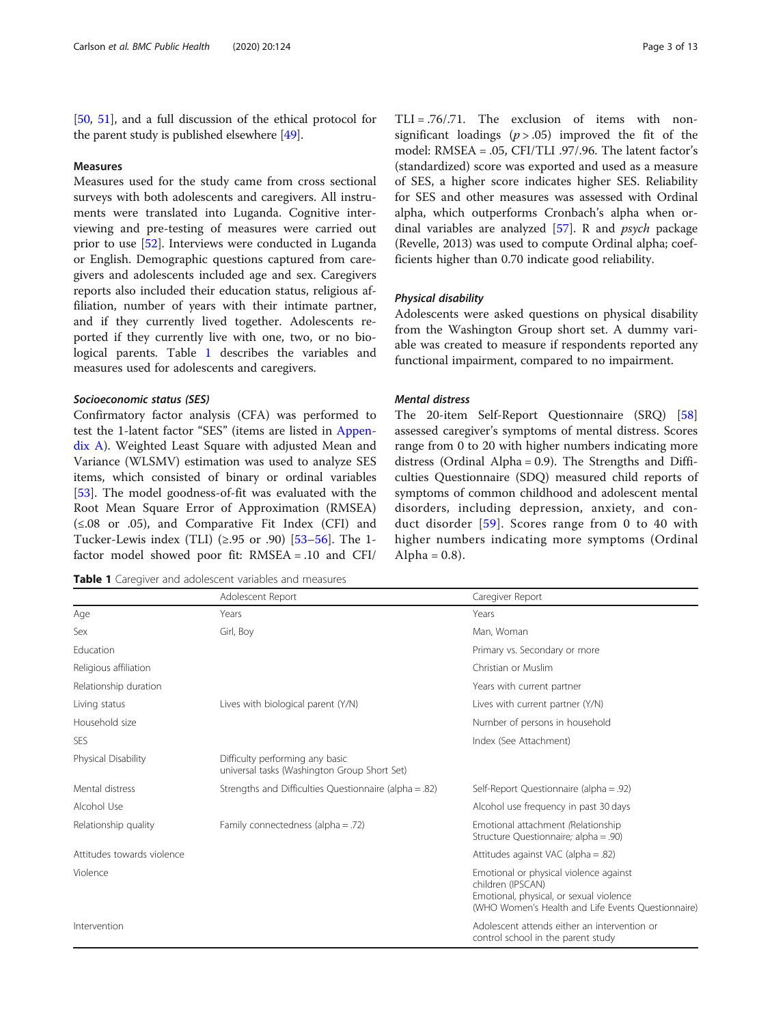[[50](#page-11-0), [51](#page-11-0)], and a full discussion of the ethical protocol for the parent study is published elsewhere [\[49\]](#page-11-0).

#### Measures

Measures used for the study came from cross sectional surveys with both adolescents and caregivers. All instruments were translated into Luganda. Cognitive interviewing and pre-testing of measures were carried out prior to use [[52\]](#page-11-0). Interviews were conducted in Luganda or English. Demographic questions captured from caregivers and adolescents included age and sex. Caregivers reports also included their education status, religious affiliation, number of years with their intimate partner, and if they currently lived together. Adolescents reported if they currently live with one, two, or no biological parents. Table 1 describes the variables and measures used for adolescents and caregivers.

#### Socioeconomic status (SES)

Confirmatory factor analysis (CFA) was performed to test the 1-latent factor "SES" (items are listed in [Appen](#page-9-0)[dix A\)](#page-9-0). Weighted Least Square with adjusted Mean and Variance (WLSMV) estimation was used to analyze SES items, which consisted of binary or ordinal variables [[53\]](#page-11-0). The model goodness-of-fit was evaluated with the Root Mean Square Error of Approximation (RMSEA) (≤.08 or .05), and Comparative Fit Index (CFI) and Tucker-Lewis index (TLI) (≥.95 or .90) [\[53](#page-11-0)–[56\]](#page-11-0). The 1factor model showed poor fit: RMSEA = .10 and CFI/

Table 1 Caregiver and adolescent variables and measures

TLI = .76/.71. The exclusion of items with nonsignificant loadings  $(p > .05)$  improved the fit of the model: RMSEA = .05, CFI/TLI .97/.96. The latent factor's (standardized) score was exported and used as a measure of SES, a higher score indicates higher SES. Reliability for SES and other measures was assessed with Ordinal alpha, which outperforms Cronbach's alpha when ordinal variables are analyzed [\[57](#page-11-0)]. R and psych package (Revelle, 2013) was used to compute Ordinal alpha; coefficients higher than 0.70 indicate good reliability.

#### Physical disability

Adolescents were asked questions on physical disability from the Washington Group short set. A dummy variable was created to measure if respondents reported any functional impairment, compared to no impairment.

#### Mental distress

The 20-item Self-Report Questionnaire (SRQ) [[58](#page-11-0)] assessed caregiver's symptoms of mental distress. Scores range from 0 to 20 with higher numbers indicating more distress (Ordinal Alpha = 0.9). The Strengths and Difficulties Questionnaire (SDQ) measured child reports of symptoms of common childhood and adolescent mental disorders, including depression, anxiety, and conduct disorder [[59](#page-11-0)]. Scores range from 0 to 40 with higher numbers indicating more symptoms (Ordinal Alpha =  $0.8$ ).

|                            | Adolescent Report                                                               | Caregiver Report                                                                                                                                             |
|----------------------------|---------------------------------------------------------------------------------|--------------------------------------------------------------------------------------------------------------------------------------------------------------|
| Age                        | Years                                                                           | Years                                                                                                                                                        |
| Sex                        | Girl, Boy                                                                       | Man, Woman                                                                                                                                                   |
| Education                  |                                                                                 | Primary vs. Secondary or more                                                                                                                                |
| Religious affiliation      |                                                                                 | Christian or Muslim                                                                                                                                          |
| Relationship duration      |                                                                                 | Years with current partner                                                                                                                                   |
| Living status              | Lives with biological parent (Y/N)                                              | Lives with current partner (Y/N)                                                                                                                             |
| Household size             |                                                                                 | Number of persons in household                                                                                                                               |
| SES                        |                                                                                 | Index (See Attachment)                                                                                                                                       |
| Physical Disability        | Difficulty performing any basic<br>universal tasks (Washington Group Short Set) |                                                                                                                                                              |
| Mental distress            | Strengths and Difficulties Questionnaire (alpha = .82)                          | Self-Report Questionnaire (alpha = .92)                                                                                                                      |
| Alcohol Use                |                                                                                 | Alcohol use frequency in past 30 days                                                                                                                        |
| Relationship quality       | Family connectedness (alpha = .72)                                              | Emotional attachment (Relationship<br>Structure Questionnaire; alpha = .90)                                                                                  |
| Attitudes towards violence |                                                                                 | Attitudes against VAC (alpha = .82)                                                                                                                          |
| Violence                   |                                                                                 | Emotional or physical violence against<br>children (IPSCAN)<br>Emotional, physical, or sexual violence<br>(WHO Women's Health and Life Events Questionnaire) |
| Intervention               |                                                                                 | Adolescent attends either an intervention or<br>control school in the parent study                                                                           |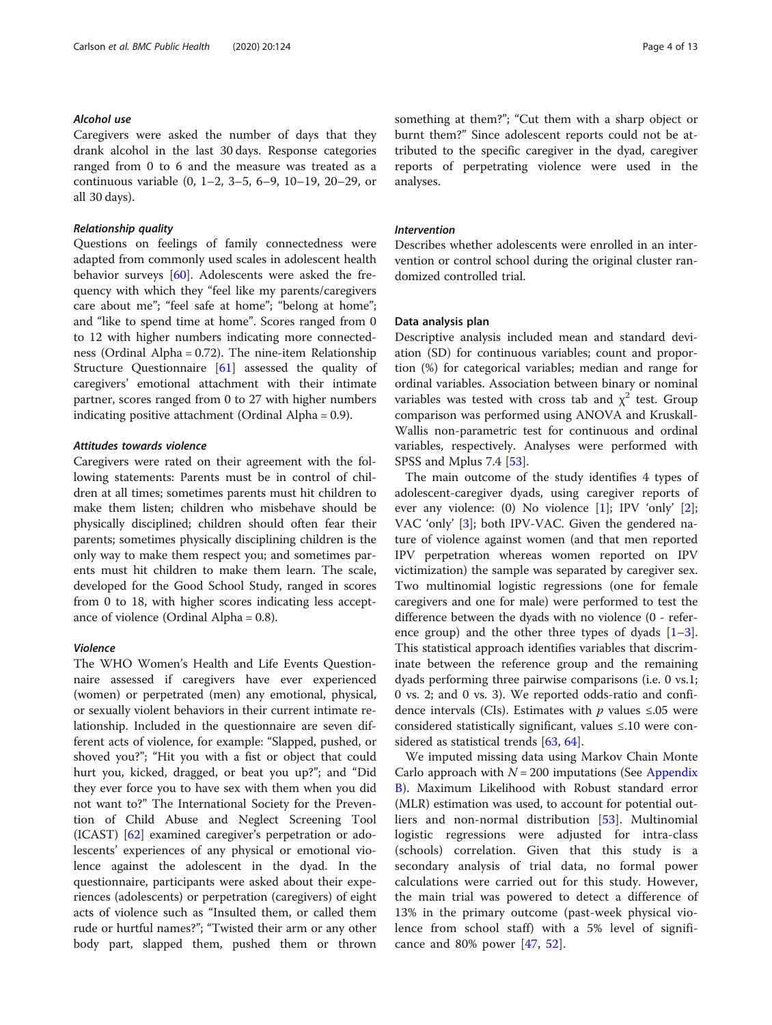#### Alcohol use

Caregivers were asked the number of days that they drank alcohol in the last 30 days. Response categories ranged from 0 to 6 and the measure was treated as a continuous variable (0, 1–2, 3–5, 6–9, 10–19, 20–29, or all 30 days).

#### Relationship quality

Questions on feelings of family connectedness were adapted from commonly used scales in adolescent health behavior surveys [[60\]](#page-11-0). Adolescents were asked the frequency with which they "feel like my parents/caregivers care about me"; "feel safe at home"; "belong at home"; and "like to spend time at home". Scores ranged from 0 to 12 with higher numbers indicating more connectedness (Ordinal Alpha = 0.72). The nine-item Relationship Structure Questionnaire [\[61\]](#page-11-0) assessed the quality of caregivers' emotional attachment with their intimate partner, scores ranged from 0 to 27 with higher numbers indicating positive attachment (Ordinal Alpha = 0.9).

#### Attitudes towards violence

Caregivers were rated on their agreement with the following statements: Parents must be in control of children at all times; sometimes parents must hit children to make them listen; children who misbehave should be physically disciplined; children should often fear their parents; sometimes physically disciplining children is the only way to make them respect you; and sometimes parents must hit children to make them learn. The scale, developed for the Good School Study, ranged in scores from 0 to 18, with higher scores indicating less acceptance of violence (Ordinal Alpha = 0.8).

#### Violence

The WHO Women's Health and Life Events Questionnaire assessed if caregivers have ever experienced (women) or perpetrated (men) any emotional, physical, or sexually violent behaviors in their current intimate relationship. Included in the questionnaire are seven different acts of violence, for example: "Slapped, pushed, or shoved you?"; "Hit you with a fist or object that could hurt you, kicked, dragged, or beat you up?"; and "Did they ever force you to have sex with them when you did not want to?" The International Society for the Prevention of Child Abuse and Neglect Screening Tool (ICAST) [[62](#page-11-0)] examined caregiver's perpetration or adolescents' experiences of any physical or emotional violence against the adolescent in the dyad. In the questionnaire, participants were asked about their experiences (adolescents) or perpetration (caregivers) of eight acts of violence such as "Insulted them, or called them rude or hurtful names?"; "Twisted their arm or any other body part, slapped them, pushed them or thrown something at them?"; "Cut them with a sharp object or burnt them?" Since adolescent reports could not be attributed to the specific caregiver in the dyad, caregiver reports of perpetrating violence were used in the analyses.

#### Intervention

Describes whether adolescents were enrolled in an intervention or control school during the original cluster randomized controlled trial.

#### Data analysis plan

Descriptive analysis included mean and standard deviation (SD) for continuous variables; count and proportion (%) for categorical variables; median and range for ordinal variables. Association between binary or nominal variables was tested with cross tab and  $\chi^2$  test. Group comparison was performed using ANOVA and Kruskall-Wallis non-parametric test for continuous and ordinal variables, respectively. Analyses were performed with SPSS and Mplus 7.4 [\[53\]](#page-11-0).

The main outcome of the study identifies 4 types of adolescent-caregiver dyads, using caregiver reports of ever any violence: (0) No violence [[1](#page-10-0)]; IPV 'only' [\[2](#page-10-0)]; VAC 'only' [\[3](#page-10-0)]; both IPV-VAC. Given the gendered nature of violence against women (and that men reported IPV perpetration whereas women reported on IPV victimization) the sample was separated by caregiver sex. Two multinomial logistic regressions (one for female caregivers and one for male) were performed to test the difference between the dyads with no violence (0 - reference group) and the other three types of dyads  $[1-3]$  $[1-3]$  $[1-3]$  $[1-3]$ . This statistical approach identifies variables that discriminate between the reference group and the remaining dyads performing three pairwise comparisons (i.e. 0 vs.1; 0 vs. 2; and 0 vs. 3). We reported odds-ratio and confidence intervals (CIs). Estimates with *p* values ≤.05 were considered statistically significant, values ≤.10 were considered as statistical trends [[63,](#page-11-0) [64](#page-11-0)].

We imputed missing data using Markov Chain Monte Carlo approach with  $N = 200$  imputations (See [Appendix](#page-9-0) [B\)](#page-9-0). Maximum Likelihood with Robust standard error (MLR) estimation was used, to account for potential outliers and non-normal distribution [[53\]](#page-11-0). Multinomial logistic regressions were adjusted for intra-class (schools) correlation. Given that this study is a secondary analysis of trial data, no formal power calculations were carried out for this study. However, the main trial was powered to detect a difference of 13% in the primary outcome (past-week physical violence from school staff) with a 5% level of significance and 80% power [[47](#page-11-0), [52](#page-11-0)].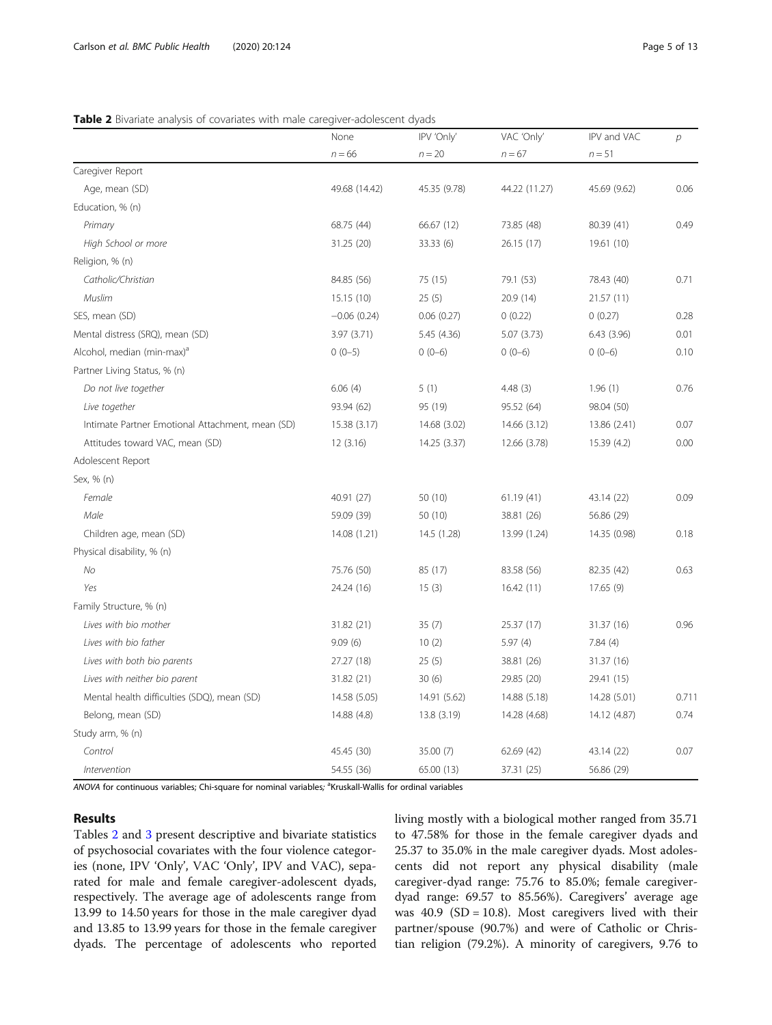#### Table 2 Bivariate analysis of covariates with male caregiver-adolescent dyads

|                                                  | None          | IPV 'Only'   | VAC 'Only'    | IPV and VAC  | $\overline{p}$ |
|--------------------------------------------------|---------------|--------------|---------------|--------------|----------------|
|                                                  | $n = 66$      | $n = 20$     | $n = 67$      | $n=51$       |                |
| Caregiver Report                                 |               |              |               |              |                |
| Age, mean (SD)                                   | 49.68 (14.42) | 45.35 (9.78) | 44.22 (11.27) | 45.69 (9.62) | 0.06           |
| Education, % (n)                                 |               |              |               |              |                |
| Primary                                          | 68.75 (44)    | 66.67 (12)   | 73.85 (48)    | 80.39 (41)   | 0.49           |
| High School or more                              | 31.25 (20)    | 33.33(6)     | 26.15 (17)    | 19.61 (10)   |                |
| Religion, % (n)                                  |               |              |               |              |                |
| Catholic/Christian                               | 84.85 (56)    | 75 (15)      | 79.1 (53)     | 78.43 (40)   | 0.71           |
| Muslim                                           | 15.15(10)     | 25(5)        | 20.9(14)      | 21.57(11)    |                |
| SES, mean (SD)                                   | $-0.06(0.24)$ | 0.06(0.27)   | 0(0.22)       | 0(0.27)      | 0.28           |
| Mental distress (SRQ), mean (SD)                 | 3.97 (3.71)   | 5.45 (4.36)  | 5.07(3.73)    | 6.43(3.96)   | 0.01           |
| Alcohol, median (min-max) <sup>a</sup>           | $0(0-5)$      | $0(0-6)$     | $0(0-6)$      | $0(0-6)$     | 0.10           |
| Partner Living Status, % (n)                     |               |              |               |              |                |
| Do not live together                             | 6.06(4)       | 5(1)         | 4.48(3)       | 1.96(1)      | 0.76           |
| Live together                                    | 93.94 (62)    | 95 (19)      | 95.52 (64)    | 98.04 (50)   |                |
| Intimate Partner Emotional Attachment, mean (SD) | 15.38 (3.17)  | 14.68 (3.02) | 14.66 (3.12)  | 13.86 (2.41) | 0.07           |
| Attitudes toward VAC, mean (SD)                  | 12(3.16)      | 14.25 (3.37) | 12.66 (3.78)  | 15.39 (4.2)  | 0.00           |
| Adolescent Report                                |               |              |               |              |                |
| Sex, % (n)                                       |               |              |               |              |                |
| Female                                           | 40.91 (27)    | 50 (10)      | 61.19(41)     | 43.14 (22)   | 0.09           |
| Male                                             | 59.09 (39)    | 50 (10)      | 38.81 (26)    | 56.86 (29)   |                |
| Children age, mean (SD)                          | 14.08 (1.21)  | 14.5 (1.28)  | 13.99 (1.24)  | 14.35 (0.98) | 0.18           |
| Physical disability, % (n)                       |               |              |               |              |                |
| No                                               | 75.76 (50)    | 85 (17)      | 83.58 (56)    | 82.35 (42)   | 0.63           |
| Yes                                              | 24.24 (16)    | 15(3)        | 16.42 (11)    | 17.65(9)     |                |
| Family Structure, % (n)                          |               |              |               |              |                |
| Lives with bio mother                            | 31.82 (21)    | 35(7)        | 25.37 (17)    | 31.37 (16)   | 0.96           |
| Lives with bio father                            | 9.09(6)       | 10(2)        | 5.97(4)       | 7.84(4)      |                |
| Lives with both bio parents                      | 27.27 (18)    | 25(5)        | 38.81 (26)    | 31.37 (16)   |                |
| Lives with neither bio parent                    | 31.82 (21)    | 30(6)        | 29.85 (20)    | 29.41 (15)   |                |
| Mental health difficulties (SDQ), mean (SD)      | 14.58 (5.05)  | 14.91 (5.62) | 14.88 (5.18)  | 14.28 (5.01) | 0.711          |
| Belong, mean (SD)                                | 14.88 (4.8)   | 13.8 (3.19)  | 14.28 (4.68)  | 14.12 (4.87) | 0.74           |
| Study arm, % (n)                                 |               |              |               |              |                |
| Control                                          | 45.45 (30)    | 35.00 (7)    | 62.69(42)     | 43.14 (22)   | 0.07           |
| Intervention                                     | 54.55 (36)    | 65.00 (13)   | 37.31 (25)    | 56.86 (29)   |                |

ANOVA for continuous variables; Chi-square for nominal variables; <sup>a</sup>Kruskall-Wallis for ordinal variables

#### Results

Tables 2 and [3](#page-5-0) present descriptive and bivariate statistics of psychosocial covariates with the four violence categories (none, IPV 'Only', VAC 'Only', IPV and VAC), separated for male and female caregiver-adolescent dyads, respectively. The average age of adolescents range from 13.99 to 14.50 years for those in the male caregiver dyad and 13.85 to 13.99 years for those in the female caregiver dyads. The percentage of adolescents who reported living mostly with a biological mother ranged from 35.71 to 47.58% for those in the female caregiver dyads and 25.37 to 35.0% in the male caregiver dyads. Most adolescents did not report any physical disability (male caregiver-dyad range: 75.76 to 85.0%; female caregiverdyad range: 69.57 to 85.56%). Caregivers' average age was  $40.9$  (SD = 10.8). Most caregivers lived with their partner/spouse (90.7%) and were of Catholic or Christian religion (79.2%). A minority of caregivers, 9.76 to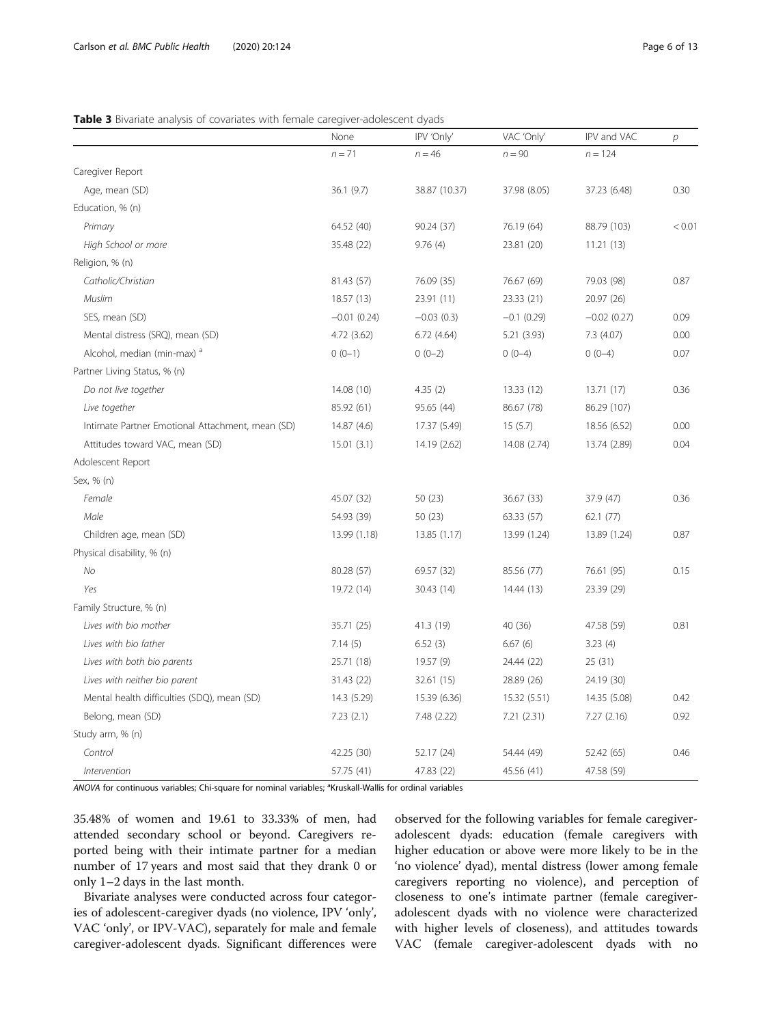#### <span id="page-5-0"></span>Table 3 Bivariate analysis of covariates with female caregiver-adolescent dyads

|                                                  | None          | IPV 'Only'    | VAC 'Only'    | IPV and VAC   | $\overline{p}$ |
|--------------------------------------------------|---------------|---------------|---------------|---------------|----------------|
|                                                  | $n = 71$      | $n = 46$      | $n = 90$      | $n = 124$     |                |
| Caregiver Report                                 |               |               |               |               |                |
| Age, mean (SD)                                   | 36.1 (9.7)    | 38.87 (10.37) | 37.98 (8.05)  | 37.23 (6.48)  | 0.30           |
|                                                  |               |               |               |               |                |
| Education, % (n)                                 |               |               |               |               |                |
| Primary                                          | 64.52 (40)    | 90.24 (37)    | 76.19 (64)    | 88.79 (103)   | < 0.01         |
| High School or more                              | 35.48 (22)    | 9.76(4)       | 23.81 (20)    | 11.21(13)     |                |
| Religion, % (n)                                  |               |               |               |               |                |
| Catholic/Christian                               | 81.43 (57)    | 76.09 (35)    | 76.67 (69)    | 79.03 (98)    | 0.87           |
| Muslim                                           | 18.57 (13)    | 23.91 (11)    | 23.33 (21)    | 20.97 (26)    |                |
| SES, mean (SD)                                   | $-0.01(0.24)$ | $-0.03(0.3)$  | $-0.1$ (0.29) | $-0.02(0.27)$ | 0.09           |
| Mental distress (SRQ), mean (SD)                 | 4.72(3.62)    | 6.72(4.64)    | 5.21 (3.93)   | 7.3 (4.07)    | 0.00           |
| Alcohol, median (min-max) <sup>a</sup>           | $0(0-1)$      | $0(0-2)$      | $0(0-4)$      | $0(0-4)$      | 0.07           |
| Partner Living Status, % (n)                     |               |               |               |               |                |
| Do not live together                             | 14.08 (10)    | 4.35(2)       | 13.33(12)     | 13.71(17)     | 0.36           |
| Live together                                    | 85.92 (61)    | 95.65 (44)    | 86.67 (78)    | 86.29 (107)   |                |
| Intimate Partner Emotional Attachment, mean (SD) | 14.87 (4.6)   | 17.37 (5.49)  | 15(5.7)       | 18.56 (6.52)  | 0.00           |
| Attitudes toward VAC, mean (SD)                  | 15.01(3.1)    | 14.19 (2.62)  | 14.08 (2.74)  | 13.74 (2.89)  | 0.04           |
| Adolescent Report                                |               |               |               |               |                |
| Sex, % (n)                                       |               |               |               |               |                |
| Female                                           | 45.07 (32)    | 50(23)        | 36.67 (33)    | 37.9 (47)     | 0.36           |
| Male                                             | 54.93 (39)    | 50(23)        | 63.33 (57)    | 62.1(77)      |                |
| Children age, mean (SD)                          | 13.99 (1.18)  | 13.85 (1.17)  | 13.99 (1.24)  | 13.89 (1.24)  | 0.87           |
| Physical disability, % (n)                       |               |               |               |               |                |
| No                                               | 80.28 (57)    | 69.57 (32)    | 85.56 (77)    | 76.61 (95)    | 0.15           |
| Yes                                              | 19.72 (14)    | 30.43 (14)    | 14.44 (13)    | 23.39 (29)    |                |
| Family Structure, % (n)                          |               |               |               |               |                |
| Lives with bio mother                            | 35.71 (25)    | 41.3 (19)     | 40 (36)       | 47.58 (59)    | 0.81           |
| Lives with bio father                            | 7.14(5)       | 6.52(3)       | 6.67(6)       | 3.23(4)       |                |
| Lives with both bio parents                      | 25.71 (18)    | 19.57 (9)     | 24.44 (22)    | 25 (31)       |                |
| Lives with neither bio parent                    | 31.43 (22)    | 32.61 (15)    | 28.89 (26)    | 24.19 (30)    |                |
| Mental health difficulties (SDQ), mean (SD)      | 14.3 (5.29)   | 15.39 (6.36)  | 15.32 (5.51)  | 14.35 (5.08)  | 0.42           |
| Belong, mean (SD)                                | 7.23(2.1)     | 7.48 (2.22)   | 7.21(2.31)    | 7.27(2.16)    | 0.92           |
| Study arm, % (n)                                 |               |               |               |               |                |
| Control                                          | 42.25 (30)    | 52.17 (24)    | 54.44 (49)    | 52.42 (65)    | 0.46           |
|                                                  |               |               |               |               |                |
| Intervention                                     | 57.75 (41)    | 47.83 (22)    | 45.56 (41)    | 47.58 (59)    |                |

ANOVA for continuous variables; Chi-square for nominal variables; <sup>a</sup>Kruskall-Wallis for ordinal variables

35.48% of women and 19.61 to 33.33% of men, had attended secondary school or beyond. Caregivers reported being with their intimate partner for a median number of 17 years and most said that they drank 0 or only 1–2 days in the last month.

Bivariate analyses were conducted across four categories of adolescent-caregiver dyads (no violence, IPV 'only', VAC 'only', or IPV-VAC), separately for male and female caregiver-adolescent dyads. Significant differences were observed for the following variables for female caregiveradolescent dyads: education (female caregivers with higher education or above were more likely to be in the 'no violence' dyad), mental distress (lower among female caregivers reporting no violence), and perception of closeness to one's intimate partner (female caregiveradolescent dyads with no violence were characterized with higher levels of closeness), and attitudes towards VAC (female caregiver-adolescent dyads with no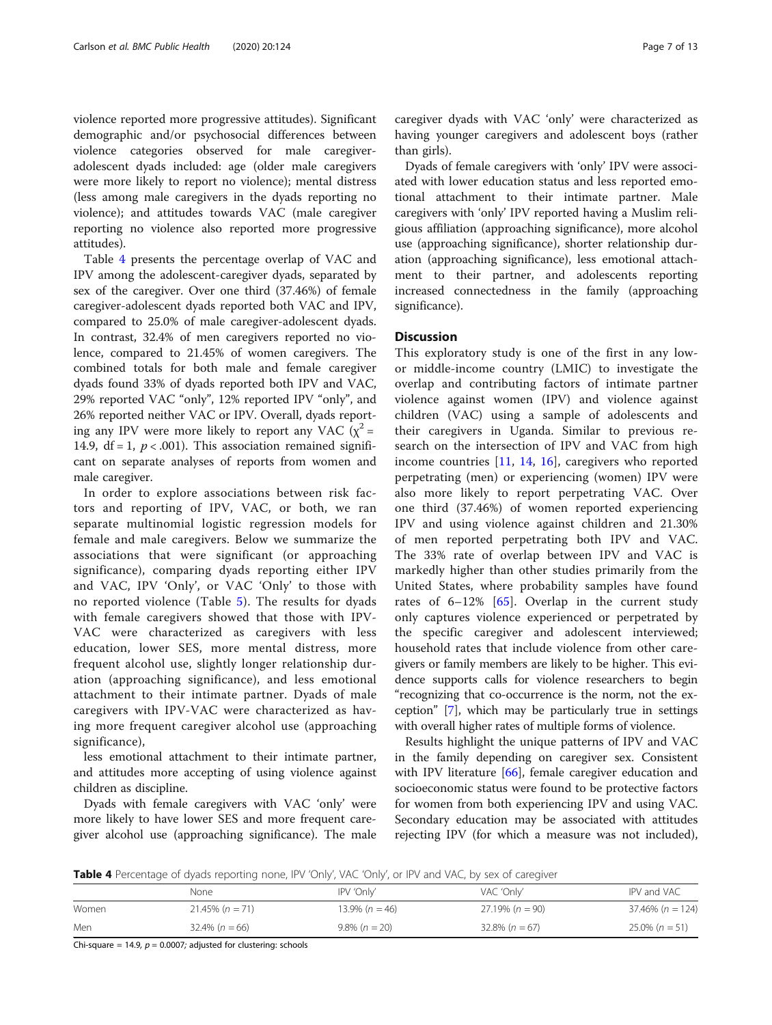violence reported more progressive attitudes). Significant demographic and/or psychosocial differences between violence categories observed for male caregiveradolescent dyads included: age (older male caregivers were more likely to report no violence); mental distress (less among male caregivers in the dyads reporting no violence); and attitudes towards VAC (male caregiver reporting no violence also reported more progressive attitudes).

Table 4 presents the percentage overlap of VAC and IPV among the adolescent-caregiver dyads, separated by sex of the caregiver. Over one third (37.46%) of female caregiver-adolescent dyads reported both VAC and IPV, compared to 25.0% of male caregiver-adolescent dyads. In contrast, 32.4% of men caregivers reported no violence, compared to 21.45% of women caregivers. The combined totals for both male and female caregiver dyads found 33% of dyads reported both IPV and VAC, 29% reported VAC "only", 12% reported IPV "only", and 26% reported neither VAC or IPV. Overall, dyads reporting any IPV were more likely to report any VAC  $(x^2 =$ 14.9,  $df = 1$ ,  $p < .001$ ). This association remained significant on separate analyses of reports from women and male caregiver.

In order to explore associations between risk factors and reporting of IPV, VAC, or both, we ran separate multinomial logistic regression models for female and male caregivers. Below we summarize the associations that were significant (or approaching significance), comparing dyads reporting either IPV and VAC, IPV 'Only', or VAC 'Only' to those with no reported violence (Table [5\)](#page-7-0). The results for dyads with female caregivers showed that those with IPV-VAC were characterized as caregivers with less education, lower SES, more mental distress, more frequent alcohol use, slightly longer relationship duration (approaching significance), and less emotional attachment to their intimate partner. Dyads of male caregivers with IPV-VAC were characterized as having more frequent caregiver alcohol use (approaching significance),

less emotional attachment to their intimate partner, and attitudes more accepting of using violence against children as discipline.

Dyads with female caregivers with VAC 'only' were more likely to have lower SES and more frequent caregiver alcohol use (approaching significance). The male

caregiver dyads with VAC 'only' were characterized as having younger caregivers and adolescent boys (rather than girls).

Dyads of female caregivers with 'only' IPV were associated with lower education status and less reported emotional attachment to their intimate partner. Male caregivers with 'only' IPV reported having a Muslim religious affiliation (approaching significance), more alcohol use (approaching significance), shorter relationship duration (approaching significance), less emotional attachment to their partner, and adolescents reporting increased connectedness in the family (approaching significance).

#### **Discussion**

This exploratory study is one of the first in any lowor middle-income country (LMIC) to investigate the overlap and contributing factors of intimate partner violence against women (IPV) and violence against children (VAC) using a sample of adolescents and their caregivers in Uganda. Similar to previous research on the intersection of IPV and VAC from high income countries [[11,](#page-10-0) [14](#page-10-0), [16](#page-10-0)], caregivers who reported perpetrating (men) or experiencing (women) IPV were also more likely to report perpetrating VAC. Over one third (37.46%) of women reported experiencing IPV and using violence against children and 21.30% of men reported perpetrating both IPV and VAC. The 33% rate of overlap between IPV and VAC is markedly higher than other studies primarily from the United States, where probability samples have found rates of  $6-12\%$  [\[65](#page-11-0)]. Overlap in the current study only captures violence experienced or perpetrated by the specific caregiver and adolescent interviewed; household rates that include violence from other caregivers or family members are likely to be higher. This evidence supports calls for violence researchers to begin "recognizing that co-occurrence is the norm, not the exception" [[7\]](#page-10-0), which may be particularly true in settings with overall higher rates of multiple forms of violence.

Results highlight the unique patterns of IPV and VAC in the family depending on caregiver sex. Consistent with IPV literature  $[66]$  $[66]$ , female caregiver education and socioeconomic status were found to be protective factors for women from both experiencing IPV and using VAC. Secondary education may be associated with attitudes rejecting IPV (for which a measure was not included),

Table 4 Percentage of dyads reporting none, IPV 'Only', VAC 'Only', or IPV and VAC, by sex of caregiver

|       | None               | IPV 'Only'        | VAC 'Only'         | IPV and VAC         |  |
|-------|--------------------|-------------------|--------------------|---------------------|--|
| Women | $21.45\% (n = 71)$ | $13.9\% (n = 46)$ | $27.19\% (n = 90)$ | $37.46\%$ (n = 124) |  |
| Men   | $32.4\% (n = 66)$  | $9.8\% (n = 20)$  | $32.8\% (n = 67)$  | $25.0\% (n = 51)$   |  |

Chi-square = 14.9,  $p = 0.0007$ ; adjusted for clustering: schools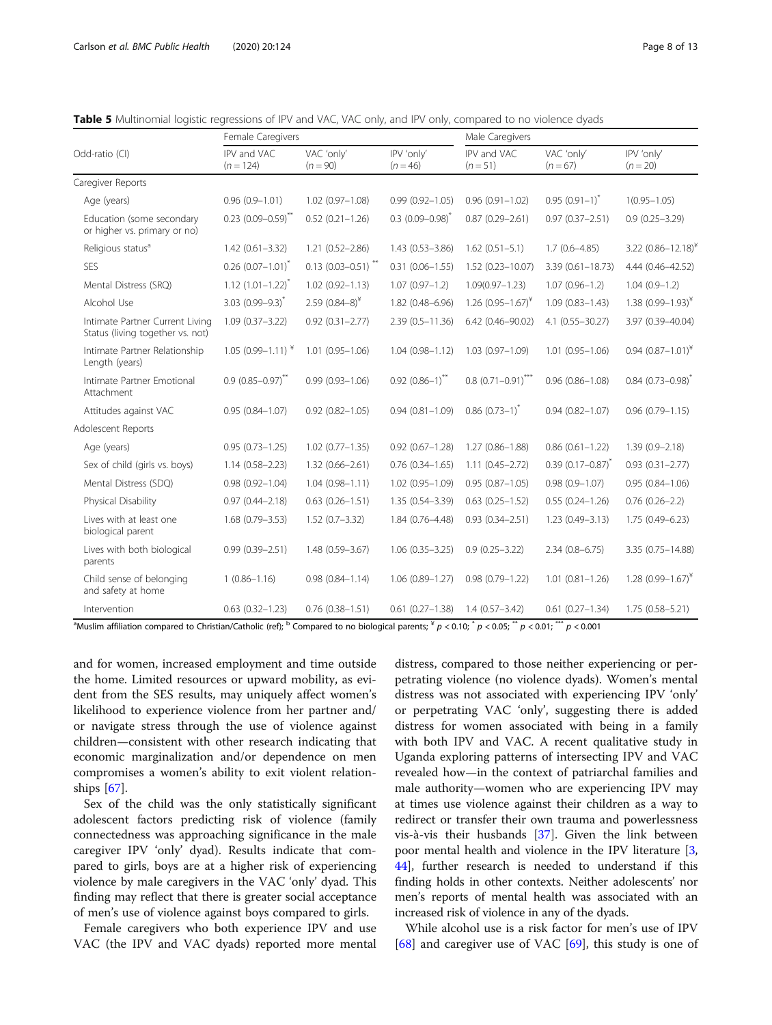|                                                                     | Female Caregivers                |                          |                          | Male Caregivers                    |                          |                            |  |
|---------------------------------------------------------------------|----------------------------------|--------------------------|--------------------------|------------------------------------|--------------------------|----------------------------|--|
| Odd-ratio (CI)                                                      | IPV and VAC<br>$(n = 124)$       | VAC 'only'<br>$(n = 90)$ | IPV 'only'<br>$(n = 46)$ | IPV and VAC<br>$(n=51)$            | VAC 'only'<br>$(n = 67)$ | IPV 'only'<br>$(n = 20)$   |  |
| Caregiver Reports                                                   |                                  |                          |                          |                                    |                          |                            |  |
| Age (years)                                                         | $0.96(0.9 - 1.01)$               | $1.02(0.97 - 1.08)$      | $0.99(0.92 - 1.05)$      | $0.96(0.91 - 1.02)$                | $0.95(0.91-1)^{*}$       | $1(0.95 - 1.05)$           |  |
| Education (some secondary<br>or higher vs. primary or no)           | $0.23$ (0.09-0.59) <sup>**</sup> | $0.52(0.21 - 1.26)$      | $0.3(0.09 - 0.98)^{*}$   | $0.87(0.29 - 2.61)$                | $0.97(0.37 - 2.51)$      | $0.9(0.25 - 3.29)$         |  |
| Religious status <sup>a</sup>                                       | $1.42(0.61 - 3.32)$              | $1.21(0.52 - 2.86)$      | $1.43(0.53 - 3.86)$      | $1.62(0.51 - 5.1)$                 | $1.7(0.6 - 4.85)$        | 3.22 $(0.86 - 12.18)^{*}$  |  |
| <b>SES</b>                                                          | $0.26$ (0.07-1.01) <sup>*</sup>  | $0.13(0.03 - 0.51)^{**}$ | $0.31(0.06 - 1.55)$      | 1.52 (0.23-10.07)                  | $3.39(0.61 - 18.73)$     | 4.44 (0.46-42.52)          |  |
| Mental Distress (SRQ)                                               | $1.12(1.01 - 1.22)^{*}$          | $1.02(0.92 - 1.13)$      | $1.07(0.97 - 1.2)$       | $1.09(0.97 - 1.23)$                | $1.07(0.96 - 1.2)$       | $1.04(0.9-1.2)$            |  |
| Alcohol Use                                                         | $3.03(0.99 - 9.3)^{*}$           | 2.59 $(0.84-8)^{*}$      | 1.82 (0.48-6.96)         | $1.26$ (0.95 - 1.67) <sup>*</sup>  | $1.09(0.83 - 1.43)$      | 1.38 $(0.99 - 1.93)^{*}$   |  |
| Intimate Partner Current Living<br>Status (living together vs. not) | $1.09(0.37 - 3.22)$              | $0.92(0.31 - 2.77)$      | $2.39(0.5 - 11.36)$      | 6.42 (0.46-90.02)                  | $4.1(0.55 - 30.27)$      | 3.97 (0.39-40.04)          |  |
| Intimate Partner Relationship<br>Length (years)                     | 1.05 $(0.99 - 1.11)^{*}$         | $1.01(0.95 - 1.06)$      | $1.04(0.98 - 1.12)$      | $1.03(0.97 - 1.09)$                | $1.01(0.95 - 1.06)$      | $0.94$ $(0.87 - 1.01)^{*}$ |  |
| Intimate Partner Emotional<br>Attachment                            | $0.9(0.85 - 0.97)^{**}$          | $0.99(0.93 - 1.06)$      | $0.92(0.86-1)^{**}$      | $0.8$ (0.71 - 0.91) <sup>***</sup> | $0.96(0.86 - 1.08)$      | $0.84$ $(0.73 - 0.98)^{*}$ |  |
| Attitudes against VAC                                               | $0.95(0.84 - 1.07)$              | $0.92(0.82 - 1.05)$      | $0.94(0.81 - 1.09)$      | $0.86(0.73-1)^{*}$                 | $0.94(0.82 - 1.07)$      | $0.96(0.79 - 1.15)$        |  |
| Adolescent Reports                                                  |                                  |                          |                          |                                    |                          |                            |  |
| Age (years)                                                         | $0.95(0.73 - 1.25)$              | $1.02(0.77 - 1.35)$      | $0.92(0.67 - 1.28)$      | $1.27(0.86 - 1.88)$                | $0.86(0.61 - 1.22)$      | $1.39(0.9 - 2.18)$         |  |
| Sex of child (girls vs. boys)                                       | $1.14(0.58 - 2.23)$              | $1.32(0.66 - 2.61)$      | $0.76(0.34 - 1.65)$      | $1.11(0.45 - 2.72)$                | $0.39(0.17 - 0.87)^{*}$  | $0.93(0.31 - 2.77)$        |  |
| Mental Distress (SDQ)                                               | $0.98(0.92 - 1.04)$              | $1.04(0.98 - 1.11)$      | 1.02 (0.95-1.09)         | $0.95(0.87 - 1.05)$                | $0.98(0.9 - 1.07)$       | $0.95(0.84 - 1.06)$        |  |
| Physical Disability                                                 | $0.97(0.44 - 2.18)$              | $0.63(0.26 - 1.51)$      | 1.35 (0.54-3.39)         | $0.63$ $(0.25 - 1.52)$             | $0.55(0.24 - 1.26)$      | $0.76(0.26 - 2.2)$         |  |
| Lives with at least one<br>biological parent                        | $1.68(0.79 - 3.53)$              | $1.52(0.7 - 3.32)$       | 1.84 (0.76-4.48)         | $0.93(0.34 - 2.51)$                | $1.23(0.49 - 3.13)$      | 1.75 (0.49-6.23)           |  |
| Lives with both biological<br>parents                               | $0.99(0.39 - 2.51)$              | 1.48 (0.59-3.67)         | $1.06(0.35 - 3.25)$      | $0.9(0.25 - 3.22)$                 | $2.34(0.8 - 6.75)$       | 3.35 (0.75-14.88)          |  |
| Child sense of belonging<br>and safety at home                      | $1(0.86 - 1.16)$                 | $0.98(0.84 - 1.14)$      | $1.06(0.89 - 1.27)$      | $0.98(0.79 - 1.22)$                | $1.01(0.81 - 1.26)$      | 1.28 $(0.99 - 1.67)^{*}$   |  |
| Intervention                                                        | $0.63(0.32 - 1.23)$              | $0.76(0.38 - 1.51)$      | $0.61(0.27 - 1.38)$      | $1.4(0.57 - 3.42)$                 | $0.61(0.27 - 1.34)$      | $1.75(0.58 - 5.21)$        |  |
|                                                                     |                                  |                          |                          |                                    |                          |                            |  |

<span id="page-7-0"></span>Table 5 Multinomial logistic regressions of IPV and VAC, VAC only, and IPV only, compared to no violence dyads

<sup>a</sup>Muslim affiliation compared to Christian/Catholic (ref); <sup>b</sup> Compared to no biological parents; <sup>x</sup>  $p < 0.01;$   $^*p < 0.05;$   $^*p < 0.01;$   $^{**}p < 0.001$ 

and for women, increased employment and time outside the home. Limited resources or upward mobility, as evident from the SES results, may uniquely affect women's likelihood to experience violence from her partner and/ or navigate stress through the use of violence against children—consistent with other research indicating that economic marginalization and/or dependence on men compromises a women's ability to exit violent relationships [\[67](#page-11-0)].

Sex of the child was the only statistically significant adolescent factors predicting risk of violence (family connectedness was approaching significance in the male caregiver IPV 'only' dyad). Results indicate that compared to girls, boys are at a higher risk of experiencing violence by male caregivers in the VAC 'only' dyad. This finding may reflect that there is greater social acceptance of men's use of violence against boys compared to girls.

Female caregivers who both experience IPV and use VAC (the IPV and VAC dyads) reported more mental

distress, compared to those neither experiencing or perpetrating violence (no violence dyads). Women's mental distress was not associated with experiencing IPV 'only' or perpetrating VAC 'only', suggesting there is added distress for women associated with being in a family with both IPV and VAC. A recent qualitative study in Uganda exploring patterns of intersecting IPV and VAC revealed how—in the context of patriarchal families and male authority—women who are experiencing IPV may at times use violence against their children as a way to redirect or transfer their own trauma and powerlessness vis-à-vis their husbands [\[37\]](#page-11-0). Given the link between poor mental health and violence in the IPV literature [[3](#page-10-0), [44](#page-11-0)], further research is needed to understand if this finding holds in other contexts. Neither adolescents' nor men's reports of mental health was associated with an increased risk of violence in any of the dyads.

While alcohol use is a risk factor for men's use of IPV [[68\]](#page-11-0) and caregiver use of VAC [\[69](#page-11-0)], this study is one of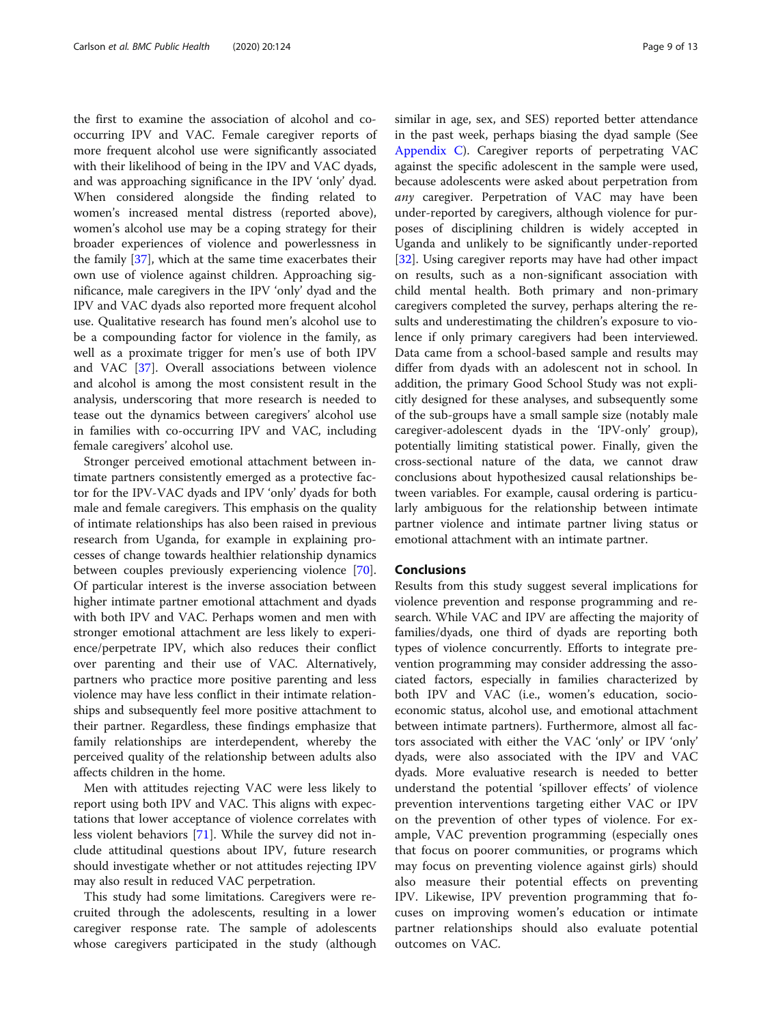the first to examine the association of alcohol and cooccurring IPV and VAC. Female caregiver reports of more frequent alcohol use were significantly associated with their likelihood of being in the IPV and VAC dyads, and was approaching significance in the IPV 'only' dyad. When considered alongside the finding related to women's increased mental distress (reported above), women's alcohol use may be a coping strategy for their broader experiences of violence and powerlessness in the family [[37\]](#page-11-0), which at the same time exacerbates their own use of violence against children. Approaching significance, male caregivers in the IPV 'only' dyad and the IPV and VAC dyads also reported more frequent alcohol use. Qualitative research has found men's alcohol use to be a compounding factor for violence in the family, as well as a proximate trigger for men's use of both IPV and VAC [[37\]](#page-11-0). Overall associations between violence and alcohol is among the most consistent result in the analysis, underscoring that more research is needed to tease out the dynamics between caregivers' alcohol use in families with co-occurring IPV and VAC, including female caregivers' alcohol use.

Stronger perceived emotional attachment between intimate partners consistently emerged as a protective factor for the IPV-VAC dyads and IPV 'only' dyads for both male and female caregivers. This emphasis on the quality of intimate relationships has also been raised in previous research from Uganda, for example in explaining processes of change towards healthier relationship dynamics between couples previously experiencing violence [\[70](#page-11-0)]. Of particular interest is the inverse association between higher intimate partner emotional attachment and dyads with both IPV and VAC. Perhaps women and men with stronger emotional attachment are less likely to experience/perpetrate IPV, which also reduces their conflict over parenting and their use of VAC. Alternatively, partners who practice more positive parenting and less violence may have less conflict in their intimate relationships and subsequently feel more positive attachment to their partner. Regardless, these findings emphasize that family relationships are interdependent, whereby the perceived quality of the relationship between adults also affects children in the home.

Men with attitudes rejecting VAC were less likely to report using both IPV and VAC. This aligns with expectations that lower acceptance of violence correlates with less violent behaviors [[71\]](#page-12-0). While the survey did not include attitudinal questions about IPV, future research should investigate whether or not attitudes rejecting IPV may also result in reduced VAC perpetration.

This study had some limitations. Caregivers were recruited through the adolescents, resulting in a lower caregiver response rate. The sample of adolescents whose caregivers participated in the study (although similar in age, sex, and SES) reported better attendance in the past week, perhaps biasing the dyad sample (See [Appendix C](#page-9-0)). Caregiver reports of perpetrating VAC against the specific adolescent in the sample were used, because adolescents were asked about perpetration from any caregiver. Perpetration of VAC may have been under-reported by caregivers, although violence for purposes of disciplining children is widely accepted in Uganda and unlikely to be significantly under-reported [[32\]](#page-11-0). Using caregiver reports may have had other impact on results, such as a non-significant association with child mental health. Both primary and non-primary caregivers completed the survey, perhaps altering the results and underestimating the children's exposure to violence if only primary caregivers had been interviewed. Data came from a school-based sample and results may differ from dyads with an adolescent not in school. In addition, the primary Good School Study was not explicitly designed for these analyses, and subsequently some of the sub-groups have a small sample size (notably male caregiver-adolescent dyads in the 'IPV-only' group), potentially limiting statistical power. Finally, given the cross-sectional nature of the data, we cannot draw conclusions about hypothesized causal relationships between variables. For example, causal ordering is particularly ambiguous for the relationship between intimate partner violence and intimate partner living status or emotional attachment with an intimate partner.

#### Conclusions

Results from this study suggest several implications for violence prevention and response programming and research. While VAC and IPV are affecting the majority of families/dyads, one third of dyads are reporting both types of violence concurrently. Efforts to integrate prevention programming may consider addressing the associated factors, especially in families characterized by both IPV and VAC (i.e., women's education, socioeconomic status, alcohol use, and emotional attachment between intimate partners). Furthermore, almost all factors associated with either the VAC 'only' or IPV 'only' dyads, were also associated with the IPV and VAC dyads. More evaluative research is needed to better understand the potential 'spillover effects' of violence prevention interventions targeting either VAC or IPV on the prevention of other types of violence. For example, VAC prevention programming (especially ones that focus on poorer communities, or programs which may focus on preventing violence against girls) should also measure their potential effects on preventing IPV. Likewise, IPV prevention programming that focuses on improving women's education or intimate partner relationships should also evaluate potential outcomes on VAC.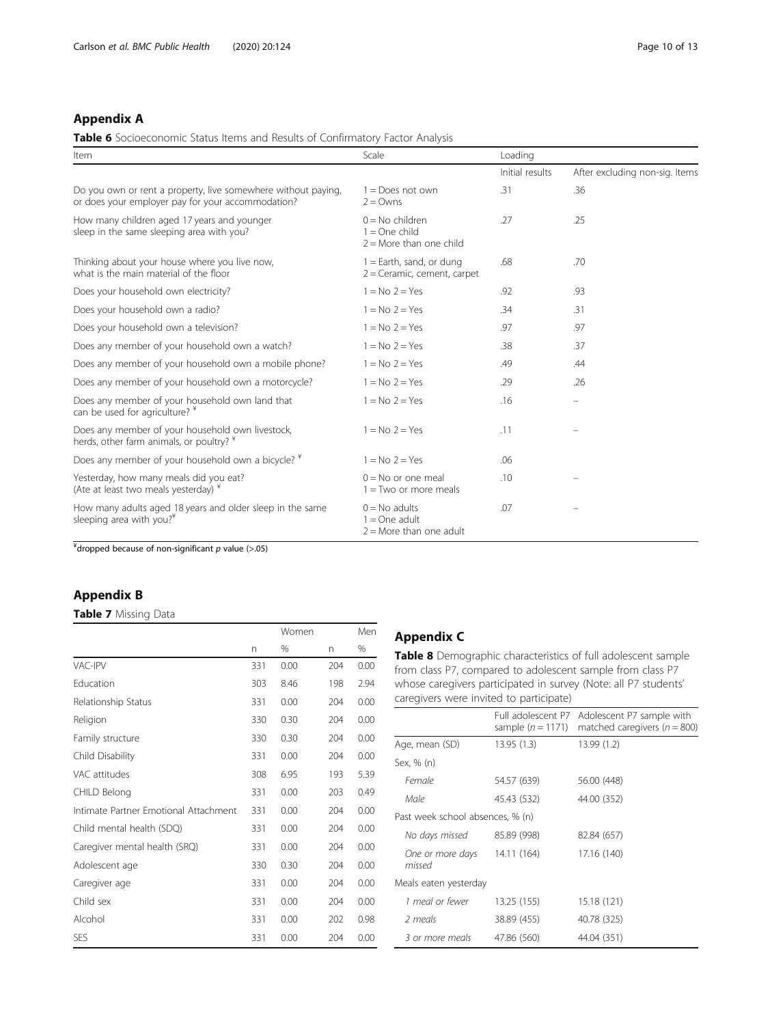#### <span id="page-9-0"></span>Appendix A

#### Table 6 Socioeconomic Status Items and Results of Confirmatory Factor Analysis

| Item                                                                                                               | Scale                                                             | Loading         |                                |
|--------------------------------------------------------------------------------------------------------------------|-------------------------------------------------------------------|-----------------|--------------------------------|
|                                                                                                                    |                                                                   | Initial results | After excluding non-sig. Items |
| Do you own or rent a property, live somewhere without paying,<br>or does your employer pay for your accommodation? | $1 =$ Does not own<br>$2 = Owns$                                  | .31             | .36                            |
| How many children aged 17 years and younger<br>sleep in the same sleeping area with you?                           | $0 = No$ children<br>$1 = One child$<br>$2 =$ More than one child | .27             | .25                            |
| Thinking about your house where you live now,<br>what is the main material of the floor                            | $1 =$ Earth, sand, or dung<br>$2 =$ Ceramic, cement, carpet       | .68             | .70                            |
| Does your household own electricity?                                                                               | $1 = No$ $2 = Yes$                                                | .92             | .93                            |
| Does your household own a radio?                                                                                   | $1 = No$ $2 = Yes$                                                | .34             | .31                            |
| Does your household own a television?                                                                              | $1 = No$ $2 = Yes$                                                | .97             | .97                            |
| Does any member of your household own a watch?                                                                     | $1 = No$ $2 = Yes$                                                | .38             | .37                            |
| Does any member of your household own a mobile phone?                                                              | $1 = No$ $2 = Yes$                                                | .49             | .44                            |
| Does any member of your household own a motorcycle?                                                                | $1 = No$ $2 = Yes$                                                | .29             | .26                            |
| Does any member of your household own land that<br>can be used for agriculture? *                                  | $1 = No$ $2 = Yes$                                                | .16             | $\overline{\phantom{m}}$       |
| Does any member of your household own livestock,<br>herds, other farm animals, or poultry? *                       | $1 = No$ $2 = Yes$                                                | .11             |                                |
| Does any member of your household own a bicycle? ¥                                                                 | $1 = No$ $2 = Yes$                                                | .06             |                                |
| Yesterday, how many meals did you eat?<br>(Ate at least two meals yesterday) *                                     | $0 = No$ or one meal<br>$1 = Two$ or more meals                   | .10             |                                |
| How many adults aged 18 years and older sleep in the same<br>sleeping area with you? <sup>*</sup>                  | $0 = No$ adults<br>$1 =$ One adult<br>$2$ = More than one adult   | .07             |                                |

 $4^4$ dropped because of non-significant p value (>.05)

#### Appendix B

#### Table 7 Missing Data

|                                       |     | Women |     | Men  |
|---------------------------------------|-----|-------|-----|------|
|                                       | n   | %     | n   | %    |
| <b>VAC-IPV</b>                        | 331 | 0.00  | 204 | 0.00 |
| Education                             | 303 | 8.46  | 198 | 2.94 |
| Relationship Status                   | 331 | 0.00  | 204 | 0.00 |
| Religion                              | 330 | 0.30  | 204 | 0.00 |
| Family structure                      | 330 | 0.30  | 204 | 0.00 |
| Child Disability                      | 331 | 0.00  | 204 | 0.00 |
| VAC attitudes                         | 308 | 6.95  | 193 | 5.39 |
| CHILD Belong                          | 331 | 0.00  | 203 | 0.49 |
| Intimate Partner Emotional Attachment | 331 | 0.00  | 204 | 0.00 |
| Child mental health (SDQ)             | 331 | 0.00  | 204 | 0.00 |
| Caregiver mental health (SRQ)         | 331 | 0.00  | 204 | 0.00 |
| Adolescent age                        | 330 | 0.30  | 204 | 0.00 |
| Caregiver age                         | 331 | 0.00  | 204 | 0.00 |
| Child sex                             | 331 | 0.00  | 204 | 0.00 |
| Alcohol                               | 331 | 0.00  | 202 | 0.98 |
| <b>SES</b>                            | 331 | 0.00  | 204 | 0.00 |

#### Appendix C

Table 8 Demographic characteristics of full adolescent sample from class P7, compared to adolescent sample from class P7 whose caregivers participated in survey (Note: all P7 students' caregivers were invited to participate)

|                                        | sample ( $n = 1171$ ) | Full adolescent P7 Adolescent P7 sample with<br>matched caregivers ( $n = 800$ ) |
|----------------------------------------|-----------------------|----------------------------------------------------------------------------------|
| Age, mean (SD)                         | 13.95(1.3)            | 13.99 (1.2)                                                                      |
| Sex, % (n)                             |                       |                                                                                  |
| Female                                 | 54.57 (639)           | 56.00 (448)                                                                      |
| Male                                   | 45.43 (532)           | 44.00 (352)                                                                      |
| Past week school absences, % (n)       |                       |                                                                                  |
| No days missed                         | 85.89 (998)           | 82.84 (657)                                                                      |
| One or more days 14.11 (164)<br>missed |                       | 17.16 (140)                                                                      |
| Meals eaten yesterday                  |                       |                                                                                  |
| 1 meal or fewer                        | 13.25 (155)           | 15.18 (121)                                                                      |
| 2 meals                                | 38.89 (455)           | 40.78 (325)                                                                      |
| 3 or more meals                        | 47.86 (560)           | 44.04 (351)                                                                      |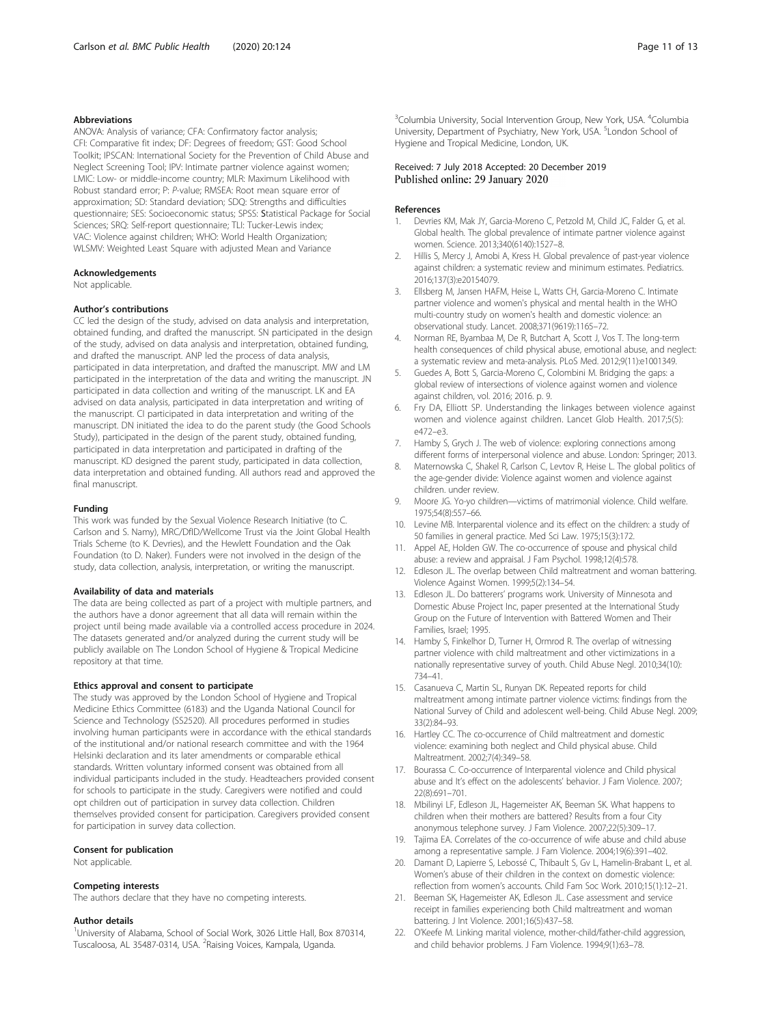#### <span id="page-10-0"></span>Abbreviations

ANOVA: Analysis of variance; CFA: Confirmatory factor analysis; CFI: Comparative fit index; DF: Degrees of freedom; GST: Good School Toolkit; IPSCAN: International Society for the Prevention of Child Abuse and Neglect Screening Tool; IPV: Intimate partner violence against women; LMIC: Low- or middle-income country; MLR: Maximum Likelihood with Robust standard error; P: P-value; RMSEA: Root mean square error of approximation; SD: Standard deviation; SDQ: Strengths and difficulties questionnaire; SES: Socioeconomic status; SPSS: Statistical Package for Social Sciences; SRQ: Self-report questionnaire; TLI: Tucker-Lewis index; VAC: Violence against children; WHO: World Health Organization; WLSMV: Weighted Least Square with adjusted Mean and Variance

#### Acknowledgements

Not applicable.

#### Author's contributions

CC led the design of the study, advised on data analysis and interpretation, obtained funding, and drafted the manuscript. SN participated in the design of the study, advised on data analysis and interpretation, obtained funding, and drafted the manuscript. ANP led the process of data analysis, participated in data interpretation, and drafted the manuscript. MW and LM participated in the interpretation of the data and writing the manuscript. JN participated in data collection and writing of the manuscript. LK and EA advised on data analysis, participated in data interpretation and writing of the manuscript. CI participated in data interpretation and writing of the manuscript. DN initiated the idea to do the parent study (the Good Schools Study), participated in the design of the parent study, obtained funding, participated in data interpretation and participated in drafting of the manuscript. KD designed the parent study, participated in data collection, data interpretation and obtained funding. All authors read and approved the final manuscript.

#### Funding

This work was funded by the Sexual Violence Research Initiative (to C. Carlson and S. Namy), MRC/DfID/Wellcome Trust via the Joint Global Health Trials Scheme (to K. Devries), and the Hewlett Foundation and the Oak Foundation (to D. Naker). Funders were not involved in the design of the study, data collection, analysis, interpretation, or writing the manuscript.

#### Availability of data and materials

The data are being collected as part of a project with multiple partners, and the authors have a donor agreement that all data will remain within the project until being made available via a controlled access procedure in 2024. The datasets generated and/or analyzed during the current study will be publicly available on The London School of Hygiene & Tropical Medicine repository at that time.

#### Ethics approval and consent to participate

The study was approved by the London School of Hygiene and Tropical Medicine Ethics Committee (6183) and the Uganda National Council for Science and Technology (SS2520). All procedures performed in studies involving human participants were in accordance with the ethical standards of the institutional and/or national research committee and with the 1964 Helsinki declaration and its later amendments or comparable ethical standards. Written voluntary informed consent was obtained from all individual participants included in the study. Headteachers provided consent for schools to participate in the study. Caregivers were notified and could opt children out of participation in survey data collection. Children themselves provided consent for participation. Caregivers provided consent for participation in survey data collection.

#### Consent for publication

Not applicable.

#### Competing interests

The authors declare that they have no competing interests.

#### Author details

<sup>1</sup>University of Alabama, School of Social Work, 3026 Little Hall, Box 870314, Tuscaloosa, AL 35487-0314, USA. <sup>2</sup>Raising Voices, Kampala, Uganda.

<sup>3</sup>Columbia University, Social Intervention Group, New York, USA. <sup>4</sup>Columbia University, Department of Psychiatry, New York, USA. <sup>5</sup> London School of Hygiene and Tropical Medicine, London, UK.

#### Received: 7 July 2018 Accepted: 20 December 2019 Published online: 29 January 2020

#### References

- 1. Devries KM, Mak JY, Garcia-Moreno C, Petzold M, Child JC, Falder G, et al. Global health. The global prevalence of intimate partner violence against women. Science. 2013;340(6140):1527–8.
- 2. Hillis S, Mercy J, Amobi A, Kress H. Global prevalence of past-year violence against children: a systematic review and minimum estimates. Pediatrics. 2016;137(3):e20154079.
- 3. Ellsberg M, Jansen HAFM, Heise L, Watts CH, Garcia-Moreno C. Intimate partner violence and women's physical and mental health in the WHO multi-country study on women's health and domestic violence: an observational study. Lancet. 2008;371(9619):1165–72.
- 4. Norman RE, Byambaa M, De R, Butchart A, Scott J, Vos T. The long-term health consequences of child physical abuse, emotional abuse, and neglect: a systematic review and meta-analysis. PLoS Med. 2012;9(11):e1001349.
- 5. Guedes A, Bott S, Garcia-Moreno C, Colombini M. Bridging the gaps: a global review of intersections of violence against women and violence against children, vol. 2016; 2016. p. 9.
- 6. Fry DA, Elliott SP. Understanding the linkages between violence against women and violence against children. Lancet Glob Health. 2017;5(5): e472–e3.
- 7. Hamby S, Grych J. The web of violence: exploring connections among different forms of interpersonal violence and abuse. London: Springer; 2013.
- 8. Maternowska C, Shakel R, Carlson C, Levtov R, Heise L. The global politics of the age-gender divide: Violence against women and violence against children. under review.
- 9. Moore JG. Yo-yo children—victims of matrimonial violence. Child welfare. 1975;54(8):557–66.
- 10. Levine MB. Interparental violence and its effect on the children: a study of 50 families in general practice. Med Sci Law. 1975;15(3):172.
- 11. Appel AE, Holden GW. The co-occurrence of spouse and physical child abuse: a review and appraisal. J Fam Psychol. 1998;12(4):578.
- 12. Edleson JL. The overlap between Child maltreatment and woman battering. Violence Against Women. 1999;5(2):134–54.
- 13. Edleson JL. Do batterers' programs work. University of Minnesota and Domestic Abuse Project Inc, paper presented at the International Study Group on the Future of Intervention with Battered Women and Their Families, Israel; 1995.
- 14. Hamby S, Finkelhor D, Turner H, Ormrod R. The overlap of witnessing partner violence with child maltreatment and other victimizations in a nationally representative survey of youth. Child Abuse Negl. 2010;34(10): 734–41.
- 15. Casanueva C, Martin SL, Runyan DK. Repeated reports for child maltreatment among intimate partner violence victims: findings from the National Survey of Child and adolescent well-being. Child Abuse Negl. 2009; 33(2):84–93.
- 16. Hartley CC. The co-occurrence of Child maltreatment and domestic violence: examining both neglect and Child physical abuse. Child Maltreatment. 2002;7(4):349–58.
- 17. Bourassa C. Co-occurrence of Interparental violence and Child physical abuse and It's effect on the adolescents' behavior. J Fam Violence. 2007; 22(8):691–701.
- 18. Mbilinyi LF, Edleson JL, Hagemeister AK, Beeman SK. What happens to children when their mothers are battered? Results from a four City anonymous telephone survey. J Fam Violence. 2007;22(5):309–17.
- 19. Tajima EA. Correlates of the co-occurrence of wife abuse and child abuse among a representative sample. J Fam Violence. 2004;19(6):391–402.
- 20. Damant D, Lapierre S, Lebossé C, Thibault S, Gv L, Hamelin-Brabant L, et al. Women's abuse of their children in the context on domestic violence: reflection from women's accounts. Child Fam Soc Work. 2010;15(1):12–21.
- 21. Beeman SK, Hagemeister AK, Edleson JL. Case assessment and service receipt in families experiencing both Child maltreatment and woman battering. J Int Violence. 2001;16(5):437–58.
- 22. O'Keefe M. Linking marital violence, mother-child/father-child aggression, and child behavior problems. J Fam Violence. 1994;9(1):63–78.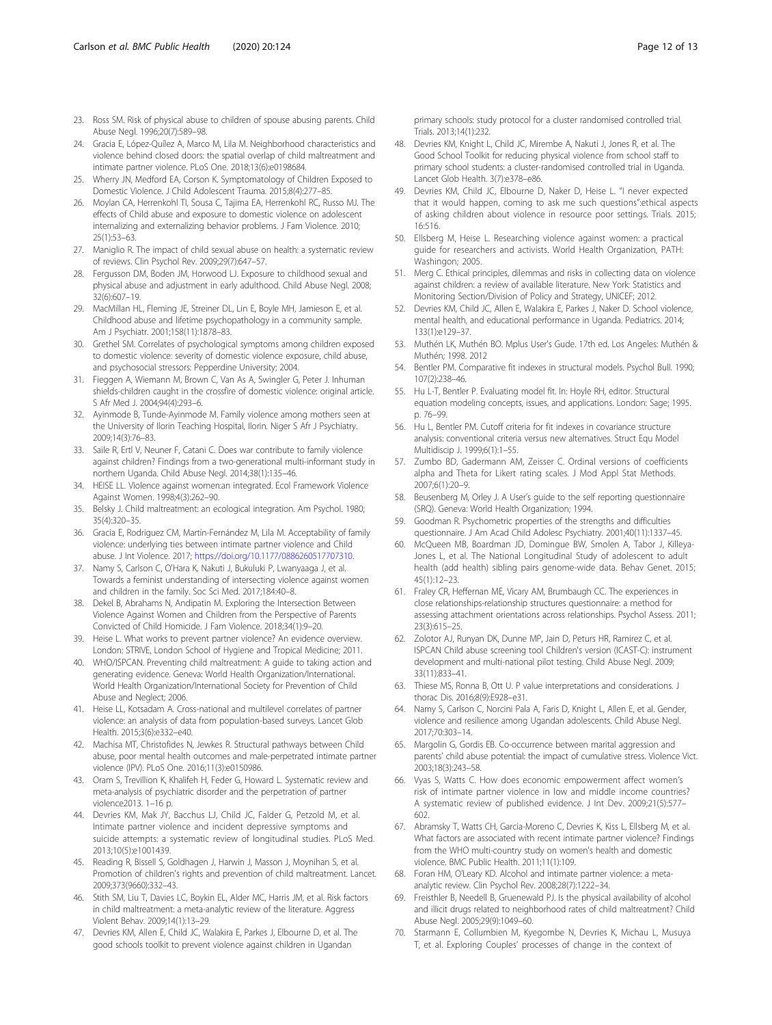- <span id="page-11-0"></span>23. Ross SM. Risk of physical abuse to children of spouse abusing parents. Child Abuse Negl. 1996;20(7):589–98.
- 24. Gracia E, López-Quílez A, Marco M, Lila M. Neighborhood characteristics and violence behind closed doors: the spatial overlap of child maltreatment and intimate partner violence. PLoS One. 2018;13(6):e0198684.
- 25. Wherry JN, Medford EA, Corson K. Symptomatology of Children Exposed to Domestic Violence. J Child Adolescent Trauma. 2015;8(4):277–85.
- 26. Moylan CA, Herrenkohl TI, Sousa C, Tajima EA, Herrenkohl RC, Russo MJ. The effects of Child abuse and exposure to domestic violence on adolescent internalizing and externalizing behavior problems. J Fam Violence. 2010; 25(1):53–63.
- 27. Maniglio R. The impact of child sexual abuse on health: a systematic review of reviews. Clin Psychol Rev. 2009;29(7):647–57.
- 28. Fergusson DM, Boden JM, Horwood LJ. Exposure to childhood sexual and physical abuse and adjustment in early adulthood. Child Abuse Negl. 2008; 32(6):607–19.
- 29. MacMillan HL, Fleming JE, Streiner DL, Lin E, Boyle MH, Jamieson E, et al. Childhood abuse and lifetime psychopathology in a community sample. Am J Psychiatr. 2001;158(11):1878–83.
- 30. Grethel SM. Correlates of psychological symptoms among children exposed to domestic violence: severity of domestic violence exposure, child abuse, and psychosocial stressors: Pepperdine University; 2004.
- 31. Fieggen A, Wiemann M, Brown C, Van As A, Swingler G, Peter J. Inhuman shields-children caught in the crossfire of domestic violence: original article. S Afr Med J. 2004;94(4):293–6.
- 32. Ayinmode B, Tunde-Ayinmode M. Family violence among mothers seen at the University of Ilorin Teaching Hospital, Ilorin. Niger S Afr J Psychiatry. 2009;14(3):76–83.
- 33. Saile R, Ertl V, Neuner F, Catani C. Does war contribute to family violence against children? Findings from a two-generational multi-informant study in northern Uganda. Child Abuse Negl. 2014;38(1):135–46.
- 34. HEISE LL. Violence against women:an integrated. Ecol Framework Violence Against Women. 1998;4(3):262–90.
- 35. Belsky J. Child maltreatment: an ecological integration. Am Psychol. 1980; 35(4):320–35.
- 36. Gracia E, Rodriguez CM, Martín-Fernández M, Lila M. Acceptability of family violence: underlying ties between intimate partner violence and Child abuse. J Int Violence. 2017; <https://doi.org/10.1177/0886260517707310>.
- 37. Namy S, Carlson C, O'Hara K, Nakuti J, Bukuluki P, Lwanyaaga J, et al. Towards a feminist understanding of intersecting violence against women and children in the family. Soc Sci Med. 2017;184:40–8.
- 38. Dekel B, Abrahams N, Andipatin M. Exploring the Intersection Between Violence Against Women and Children from the Perspective of Parents Convicted of Child Homicide. J Fam Violence. 2018;34(1):9–20.
- 39. Heise L. What works to prevent partner violence? An evidence overview. London: STRIVE, London School of Hygiene and Tropical Medicine; 2011.
- 40. WHO/ISPCAN. Preventing child maltreatment: A guide to taking action and generating evidence. Geneva: World Health Organization/International. World Health Organization/International Society for Prevention of Child Abuse and Neglect; 2006.
- 41. Heise LL, Kotsadam A. Cross-national and multilevel correlates of partner violence: an analysis of data from population-based surveys. Lancet Glob Health. 2015;3(6):e332–e40.
- 42. Machisa MT, Christofides N, Jewkes R. Structural pathways between Child abuse, poor mental health outcomes and male-perpetrated intimate partner violence (IPV). PLoS One. 2016;11(3):e0150986.
- 43. Oram S, Trevillion K, Khalifeh H, Feder G, Howard L. Systematic review and meta-analysis of psychiatric disorder and the perpetration of partner violence2013. 1–16 p.
- 44. Devries KM, Mak JY, Bacchus LJ, Child JC, Falder G, Petzold M, et al. Intimate partner violence and incident depressive symptoms and suicide attempts: a systematic review of longitudinal studies. PLoS Med. 2013;10(5):e1001439.
- 45. Reading R, Bissell S, Goldhagen J, Harwin J, Masson J, Moynihan S, et al. Promotion of children's rights and prevention of child maltreatment. Lancet. 2009;373(9660):332–43.
- 46. Stith SM, Liu T, Davies LC, Boykin EL, Alder MC, Harris JM, et al. Risk factors in child maltreatment: a meta-analytic review of the literature. Aggress Violent Behav. 2009;14(1):13–29.
- 47. Devries KM, Allen E, Child JC, Walakira E, Parkes J, Elbourne D, et al. The good schools toolkit to prevent violence against children in Ugandan

primary schools: study protocol for a cluster randomised controlled trial. Trials. 2013;14(1):232.

- 48. Devries KM, Knight L, Child JC, Mirembe A, Nakuti J, Jones R, et al. The Good School Toolkit for reducing physical violence from school staff to primary school students: a cluster-randomised controlled trial in Uganda. Lancet Glob Health. 3(7):e378–e86.
- 49. Devries KM, Child JC, Elbourne D, Naker D, Heise L. "I never expected that it would happen, coming to ask me such questions":ethical aspects of asking children about violence in resource poor settings. Trials. 2015; 16:516.
- 50. Ellsberg M, Heise L. Researching violence against women: a practical guide for researchers and activists. World Health Organization, PATH: Washingon; 2005.
- 51. Merg C. Ethical principles, dilemmas and risks in collecting data on violence against children: a review of available literature. New York: Statistics and Monitoring Section/Division of Policy and Strategy, UNICEF; 2012.
- 52. Devries KM, Child JC, Allen E, Walakira E, Parkes J, Naker D. School violence, mental health, and educational performance in Uganda. Pediatrics. 2014; 133(1):e129–37.
- 53. Muthén LK, Muthén BO. Mplus User's Gude. 17th ed. Los Angeles: Muthén & Muthén; 1998. 2012
- 54. Bentler PM. Comparative fit indexes in structural models. Psychol Bull. 1990; 107(2):238–46.
- 55. Hu L-T, Bentler P. Evaluating model fit. In: Hoyle RH, editor. Structural equation modeling concepts, issues, and applications. London: Sage; 1995. p. 76–99.
- 56. Hu L, Bentler PM. Cutoff criteria for fit indexes in covariance structure analysis: conventional criteria versus new alternatives. Struct Equ Model Multidiscip J. 1999;6(1):1–55.
- 57. Zumbo BD, Gadermann AM, Zeisser C. Ordinal versions of coefficients alpha and Theta for Likert rating scales. J Mod Appl Stat Methods. 2007;6(1):20–9.
- 58. Beusenberg M, Orley J. A User's guide to the self reporting questionnaire (SRQ). Geneva: World Health Organization; 1994.
- 59. Goodman R. Psychometric properties of the strengths and difficulties questionnaire. J Am Acad Child Adolesc Psychiatry. 2001;40(11):1337–45.
- 60. McQueen MB, Boardman JD, Domingue BW, Smolen A, Tabor J, Killeya-Jones L, et al. The National Longitudinal Study of adolescent to adult health (add health) sibling pairs genome-wide data. Behav Genet. 2015; 45(1):12–23.
- 61. Fraley CR, Heffernan ME, Vicary AM, Brumbaugh CC. The experiences in close relationships-relationship structures questionnaire: a method for assessing attachment orientations across relationships. Psychol Assess. 2011; 23(3):615–25.
- 62. Zolotor AJ, Runyan DK, Dunne MP, Jain D, Peturs HR, Ramirez C, et al. ISPCAN Child abuse screening tool Children's version (ICAST-C): instrument development and multi-national pilot testing. Child Abuse Negl. 2009; 33(11):833–41.
- 63. Thiese MS, Ronna B, Ott U. P value interpretations and considerations. J thorac Dis. 2016;8(9):E928–e31.
- 64. Namy S, Carlson C, Norcini Pala A, Faris D, Knight L, Allen E, et al. Gender, violence and resilience among Ugandan adolescents. Child Abuse Negl. 2017;70:303–14.
- 65. Margolin G, Gordis EB. Co-occurrence between marital aggression and parents' child abuse potential: the impact of cumulative stress. Violence Vict. 2003;18(3):243–58.
- 66. Vyas S, Watts C. How does economic empowerment affect women's risk of intimate partner violence in low and middle income countries? A systematic review of published evidence. J Int Dev. 2009;21(5):577– 602.
- 67. Abramsky T, Watts CH, Garcia-Moreno C, Devries K, Kiss L, Ellsberg M, et al. What factors are associated with recent intimate partner violence? Findings from the WHO multi-country study on women's health and domestic violence. BMC Public Health. 2011;11(1):109.
- 68. Foran HM, O'Leary KD. Alcohol and intimate partner violence: a metaanalytic review. Clin Psychol Rev. 2008;28(7):1222–34.
- 69. Freisthler B, Needell B, Gruenewald PJ. Is the physical availability of alcohol and illicit drugs related to neighborhood rates of child maltreatment? Child Abuse Negl. 2005;29(9):1049–60.
- 70. Starmann E, Collumbien M, Kyegombe N, Devries K, Michau L, Musuya T, et al. Exploring Couples' processes of change in the context of